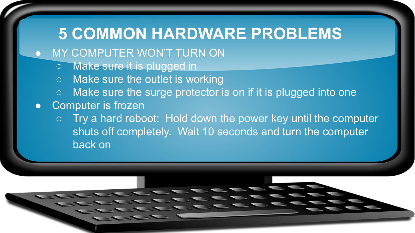## **5 COMMON HARDWARE PROBLEMS**

- **.** MY COMPUTER WON'T TURN ON
	- Make sure it is plugged in
	- Make sure the outlet is working
	- Make sure the surge protector is on if it is plugged into one
- Computer is frozen
	- Try a hard reboot: Hold down the power key until the computer shuts off completely. Wait 10 seconds and turn the computer back on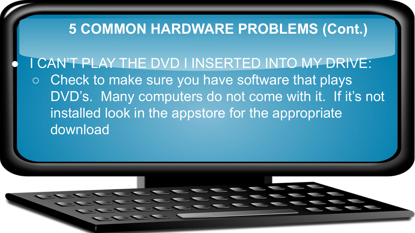## **5 COMMON HARDWARE PROBLEMS (Cont.)**

I CAN'T PLAY THE DVD I INSERTED INTO MY DRIVE: ○ Check to make sure you have software that plays DVD's. Many computers do not come with it. If it's not installed look in the appstore for the appropriate download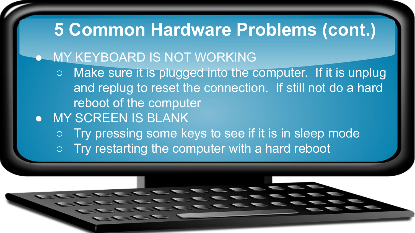# **5 Common Hardware Problems (cont.)**

### ● MY KEYBOARD IS NOT WORKING

- Make sure it is plugged into the computer. If it is unplug and replug to reset the connection. If still not do a hard reboot of the computer
- MY SCREEN IS BLANK
	- Try pressing some keys to see if it is in sleep mode  $\circ$  Try restarting the computer with a hard reboot

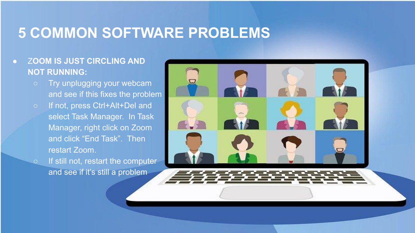## **5 COMMON SOFTWARE PROBLEMS**

#### ● Z**OOM IS JUST CIRCLING AND NOT RUNNING:**

- Try unplugging your webcam and see if this fixes the problem
- If not, press Ctrl+Alt+Del and select Task Manager. In Task Manager, right click on Zoom and click "End Task". Then restart Zoom.
	- If still not, restart the computer and see if it's still a problem

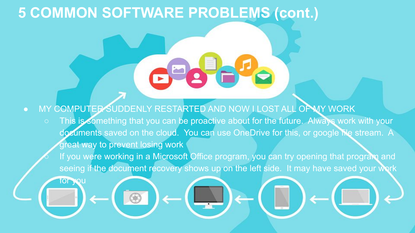## **5 COMMON SOFTWARE PROBLEMS (cont.)**

● MY COMPUTER SUDDENLY RESTARTED AND NOW I LOST ALL OF MY WORK ○ This is something that you can be proactive about for the future. Always work with your documents saved on the cloud. You can use OneDrive for this, or google file stream. A great way to prevent losing work If you were working in a Microsoft Office program, you can try opening that program and seeing if the document recovery shows up on the left side. It may have saved your work  $\overline{\text{or}}$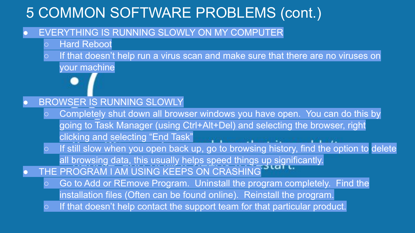## 5 COMMON SOFTWARE PROBLEMS (cont.)

#### **EVERYTHING IS RUNNING SLOWLY ON MY COMPUTER**

- Hard Reboot
- If that doesn't help run a virus scan and make sure that there are no viruses on your machine

#### BROWSER IS RUNNING SLOWLY

- Completely shut down all browser windows you have open. You can do this by going to Task Manager (using Ctrl+Alt+Del) and selecting the browser, right clicking and selecting "End Task"
- o If still slow when you open back up, go to browsing history, find the option to delete all browsing data, this usually helps speed things up significantly.
- THE PROGRAM I AM USING KEEPS ON CRASHING
	- Go to Add or REmove Program. Uninstall the program completely. Find the installation files (Often can be found online). Reinstall the program.
	- If that doesn't help contact the support team for that particular product.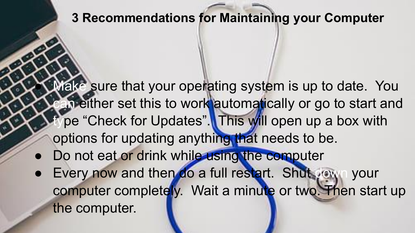### **3 Recommendations for Maintaining your Computer**

- Make sure that your operating system is up to date. You an either set this to work automatically or go to start and pe "Check for Updates". This will open up a box with options for updating anything that needs to be.
- Do not eat or drink while using the computer
- Every now and then do a full restart. Shut your computer completely. Wait a minute or two. Then start up the computer.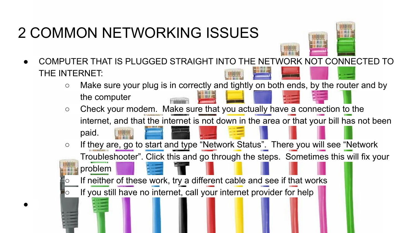# 2 COMMON NETWORKING ISSUES

 $\bullet$ 



- COMPUTER THAT IS PLUGGED STRAIGHT INTO THE NETWORK NOT CONNECTED TO THE INTERNET:
	- Make sure your plug is in correctly and tightly on both ends, by the router and by the computer
	- Check your modem. Make sure that you actually have a connection to the internet, and that the internet is not down in the area or that your bill has not been



○ If they are, go to start and type "Network Status". There you will see "Network Troubleshooter". Click this and go through the steps. Sometimes this will fix your

problem If neither of these work, try a different cable and see if that works

If you still have no internet, call your internet provider for help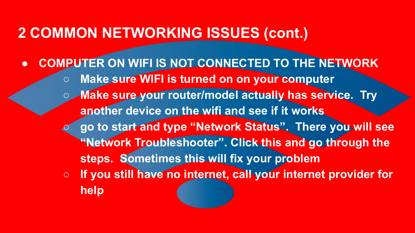### **2 COMMON NETWORKING ISSUES (cont.)**

**● COMPUTER ON WIFI IS NOT CONNECTED TO THE NETWORK ○ Make sure WIFI is turned on on your computer ○ Make sure your router/model actually has service. Try another device on the wifi and see if it works ○ go to start and type "Network Status". There you will see "Network Troubleshooter". Click this and go through the steps. Sometimes this will fix your problem ○ If you still have no internet, call your internet provider for help**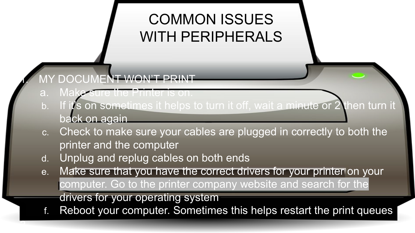## COMMON ISSUES WITH PERIPHERALS

**MY DOCUMENT WON'T PRINT** 

a. Make sure the Printer is on.

 $\overline{a}$ 

- b. If it's on sometimes it helps to turn it off, wait a minute or 2 then turn it back on again
- c. Check to make sure your cables are plugged in correctly to both the printer and the computer
- d. Unplug and replug cables on both ends
- e. Make sure that you have the correct drivers for your printer on your computer. Go to the printer company website and search for the drivers for your operating system
- f. Reboot your computer. Sometimes this helps restart the print queues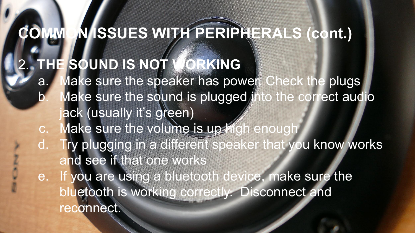**COMMON ISSUES WITH PERIPHERALS (cont.)** 2. **THE SOUND IS NOT WORKING** a. Make sure the speaker has power. Check the plugs Make sure the sound is plugged into the correct audio ack (usually it's green) c. Make sure the volume is up high enough d. Try plugging in a different speaker that you know works and see if that one works e. If you are using a bluetooth device, make sure the bluetooth is working correctly. Disconnect and reconnect.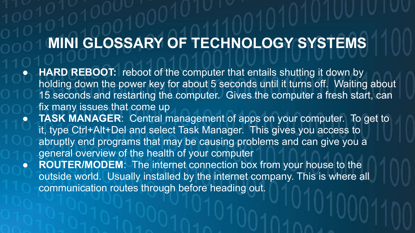# **MINI GLOSSARY OF TECHNOLOGY SYSTEMS**

- **HARD REBOOT:** reboot of the computer that entails shutting it down by holding down the power key for about 5 seconds until it turns off. Waiting about 15 seconds and restarting the computer. Gives the computer a fresh start, can fix many issues that come up
- **TASK MANAGER:** Central management of apps on your computer. To get to it, type Ctrl+Alt+Del and select Task Manager. This gives you access to abruptly end programs that may be causing problems and can give you a general overview of the health of your computer
- **ROUTER/MODEM:** The internet connection box from your house to the outside world. Usually installed by the internet company. This is where all communication routes through before heading out.